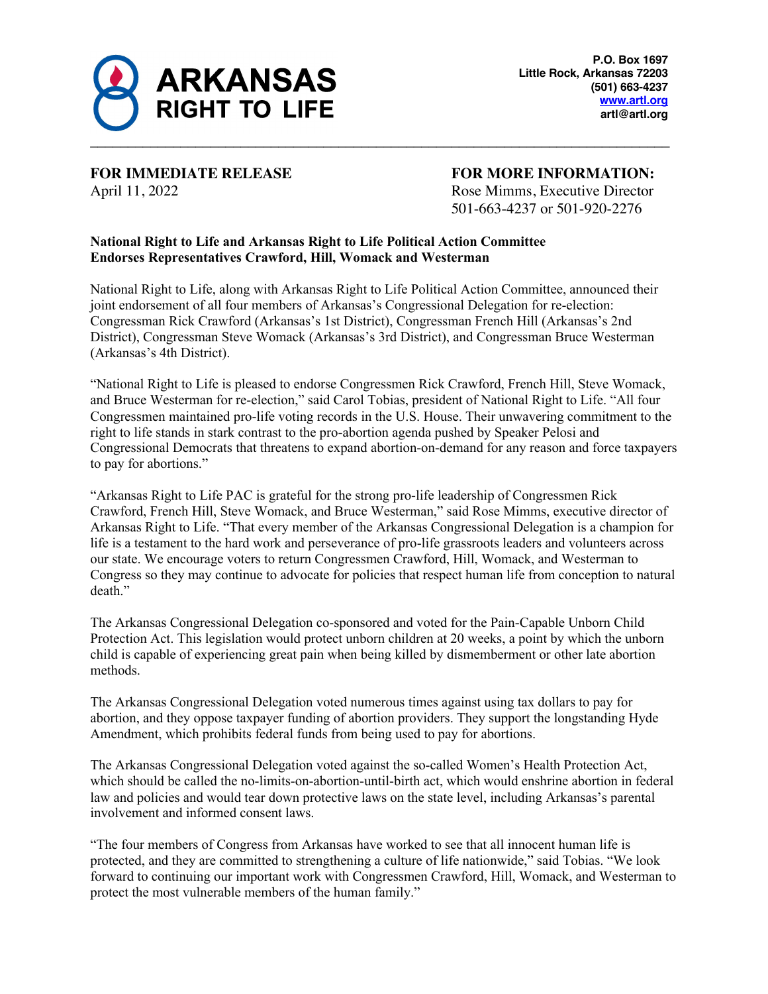

**FOR IMMEDIATE RELEASE FOR MORE INFORMATION:**

April 11, 2022 Rose Mimms, Executive Director 501-663-4237 or 501-920-2276

## **National Right to Life and Arkansas Right to Life Political Action Committee Endorses Representatives Crawford, Hill, Womack and Westerman**

National Right to Life, along with Arkansas Right to Life Political Action Committee, announced their joint endorsement of all four members of Arkansas's Congressional Delegation for re-election: Congressman Rick Crawford (Arkansas's 1st District), Congressman French Hill (Arkansas's 2nd District), Congressman Steve Womack (Arkansas's 3rd District), and Congressman Bruce Westerman (Arkansas's 4th District).

"National Right to Life is pleased to endorse Congressmen Rick Crawford, French Hill, Steve Womack, and Bruce Westerman for re-election," said Carol Tobias, president of National Right to Life. "All four Congressmen maintained pro-life voting records in the U.S. House. Their unwavering commitment to the right to life stands in stark contrast to the pro-abortion agenda pushed by Speaker Pelosi and Congressional Democrats that threatens to expand abortion-on-demand for any reason and force taxpayers to pay for abortions."

"Arkansas Right to Life PAC is grateful for the strong pro-life leadership of Congressmen Rick Crawford, French Hill, Steve Womack, and Bruce Westerman," said Rose Mimms, executive director of Arkansas Right to Life. "That every member of the Arkansas Congressional Delegation is a champion for life is a testament to the hard work and perseverance of pro-life grassroots leaders and volunteers across our state. We encourage voters to return Congressmen Crawford, Hill, Womack, and Westerman to Congress so they may continue to advocate for policies that respect human life from conception to natural death."

The Arkansas Congressional Delegation co-sponsored and voted for the Pain-Capable Unborn Child Protection Act. This legislation would protect unborn children at 20 weeks, a point by which the unborn child is capable of experiencing great pain when being killed by dismemberment or other late abortion methods.

The Arkansas Congressional Delegation voted numerous times against using tax dollars to pay for abortion, and they oppose taxpayer funding of abortion providers. They support the longstanding Hyde Amendment, which prohibits federal funds from being used to pay for abortions.

The Arkansas Congressional Delegation voted against the so-called Women's Health Protection Act, which should be called the no-limits-on-abortion-until-birth act, which would enshrine abortion in federal law and policies and would tear down protective laws on the state level, including Arkansas's parental involvement and informed consent laws.

"The four members of Congress from Arkansas have worked to see that all innocent human life is protected, and they are committed to strengthening a culture of life nationwide," said Tobias. "We look forward to continuing our important work with Congressmen Crawford, Hill, Womack, and Westerman to protect the most vulnerable members of the human family."